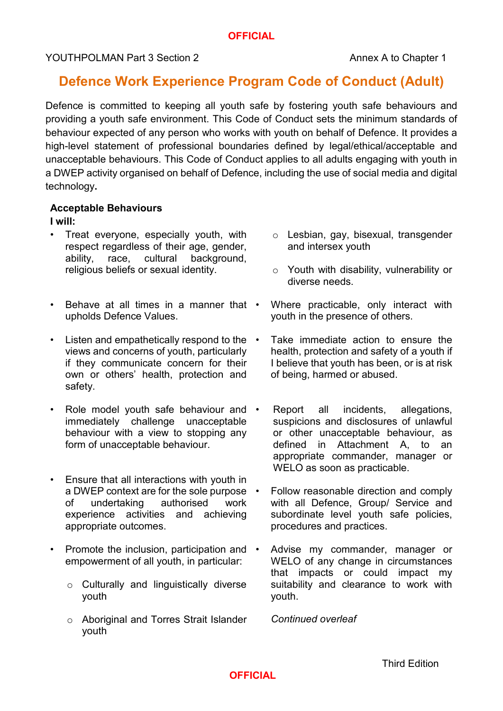# **Defence Work Experience Program Code of Conduct (Adult)**

Defence is committed to keeping all youth safe by fostering youth safe behaviours and providing a youth safe environment. This Code of Conduct sets the minimum standards of behaviour expected of any person who works with youth on behalf of Defence. It provides a high-level statement of professional boundaries defined by legal/ethical/acceptable and unacceptable behaviours. This Code of Conduct applies to all adults engaging with youth in a DWEP activity organised on behalf of Defence, including the use of social media and digital technology**.** 

#### **Acceptable Behaviours**

#### **I will:**

- Treat everyone, especially youth, with respect regardless of their age, gender, ability, race, cultural background, religious beliefs or sexual identity.
- Behave at all times in a manner that upholds Defence Values.
- Listen and empathetically respond to the views and concerns of youth, particularly if they communicate concern for their own or others' health, protection and safety.
- Role model youth safe behaviour and immediately challenge unacceptable behaviour with a view to stopping any form of unacceptable behaviour.
- Ensure that all interactions with youth in a DWEP context are for the sole purpose  $\cdot$ of undertaking authorised work experience activities and achieving appropriate outcomes.
- Promote the inclusion, participation and empowerment of all youth, in particular:
	- o Culturally and linguistically diverse youth
	- o Aboriginal and Torres Strait Islander youth
- o Lesbian, gay, bisexual, transgender and intersex youth
- o Youth with disability, vulnerability or diverse needs.
- Where practicable, only interact with youth in the presence of others.
- Take immediate action to ensure the health, protection and safety of a youth if I believe that youth has been, or is at risk of being, harmed or abused.
- Report all incidents, allegations, suspicions and disclosures of unlawful or other unacceptable behaviour, as defined in Attachment A, to an appropriate commander, manager or WELO as soon as practicable.
- Follow reasonable direction and comply with all Defence, Group/ Service and subordinate level youth safe policies, procedures and practices.
- Advise my commander, manager or WELO of any change in circumstances that impacts or could impact my suitability and clearance to work with youth.

*Continued overleaf*

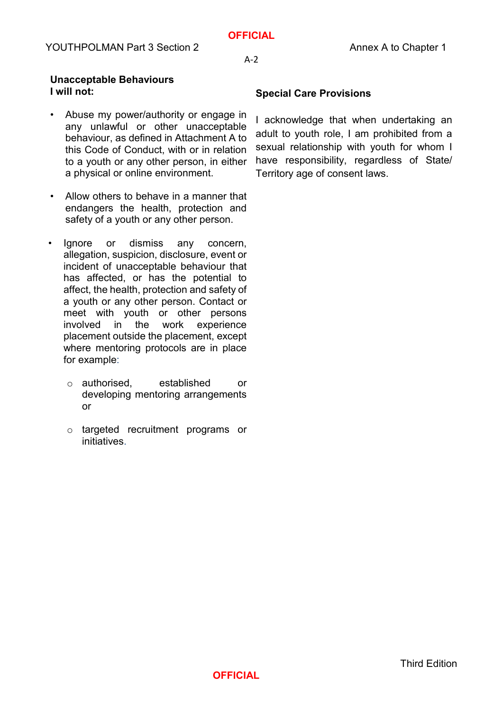A-2

#### **Unacceptable Behaviours I will not:**

- Abuse my power/authority or engage in any unlawful or other unacceptable behaviour, as defined in Attachment A to this Code of Conduct, with or in relation to a youth or any other person, in either a physical or online environment.
- Allow others to behave in a manner that endangers the health, protection and safety of a youth or any other person.
- Ignore or dismiss any concern, allegation, suspicion, disclosure, event or incident of unacceptable behaviour that has affected, or has the potential to affect, the health, protection and safety of a youth or any other person. Contact or meet with youth or other persons involved in the work experience placement outside the placement, except where mentoring protocols are in place for example:
	- o authorised, established or developing mentoring arrangements or
	- o targeted recruitment programs or initiatives.

## **Special Care Provisions**

I acknowledge that when undertaking an adult to youth role, I am prohibited from a sexual relationship with youth for whom I have responsibility, regardless of State/ Territory age of consent laws.